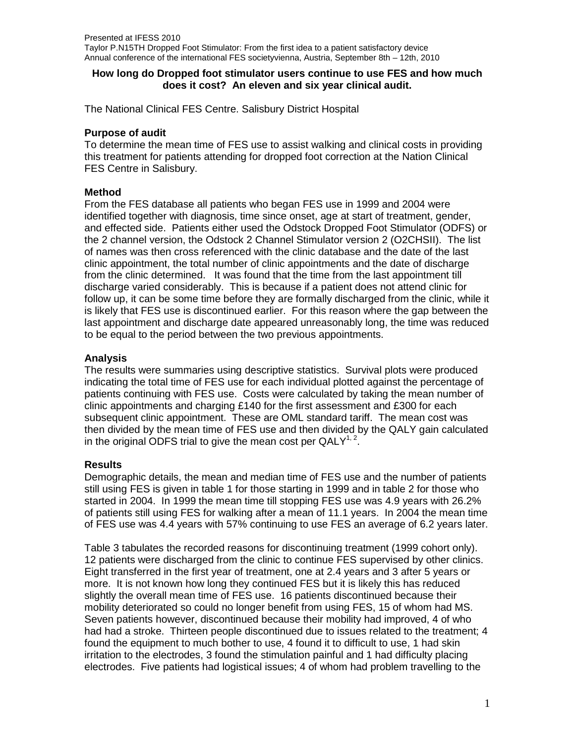#### **How long do Dropped foot stimulator users continue to use FES and how much does it cost? An eleven and six year clinical audit.**

The National Clinical FES Centre. Salisbury District Hospital

### **Purpose of audit**

To determine the mean time of FES use to assist walking and clinical costs in providing this treatment for patients attending for dropped foot correction at the Nation Clinical FES Centre in Salisbury.

### **Method**

From the FES database all patients who began FES use in 1999 and 2004 were identified together with diagnosis, time since onset, age at start of treatment, gender, and effected side. Patients either used the Odstock Dropped Foot Stimulator (ODFS) or the 2 channel version, the Odstock 2 Channel Stimulator version 2 (O2CHSII). The list of names was then cross referenced with the clinic database and the date of the last clinic appointment, the total number of clinic appointments and the date of discharge from the clinic determined. It was found that the time from the last appointment till discharge varied considerably. This is because if a patient does not attend clinic for follow up, it can be some time before they are formally discharged from the clinic, while it is likely that FES use is discontinued earlier. For this reason where the gap between the last appointment and discharge date appeared unreasonably long, the time was reduced to be equal to the period between the two previous appointments.

### **Analysis**

The results were summaries using descriptive statistics. Survival plots were produced indicating the total time of FES use for each individual plotted against the percentage of patients continuing with FES use. Costs were calculated by taking the mean number of clinic appointments and charging £140 for the first assessment and £300 for each subsequent clinic appointment. These are OML standard tariff. The mean cost was then divided by the mean time of FES use and then divided by the QALY gain calculated in the original ODFS trial to give the mean cost per  $QALY^{1,2}$ .

### **Results**

Demographic details, the mean and median time of FES use and the number of patients still using FES is given in table 1 for those starting in 1999 and in table 2 for those who started in 2004. In 1999 the mean time till stopping FES use was 4.9 years with 26.2% of patients still using FES for walking after a mean of 11.1 years. In 2004 the mean time of FES use was 4.4 years with 57% continuing to use FES an average of 6.2 years later.

Table 3 tabulates the recorded reasons for discontinuing treatment (1999 cohort only). 12 patients were discharged from the clinic to continue FES supervised by other clinics. Eight transferred in the first year of treatment, one at 2.4 years and 3 after 5 years or more. It is not known how long they continued FES but it is likely this has reduced slightly the overall mean time of FES use. 16 patients discontinued because their mobility deteriorated so could no longer benefit from using FES, 15 of whom had MS. Seven patients however, discontinued because their mobility had improved, 4 of who had had a stroke. Thirteen people discontinued due to issues related to the treatment; 4 found the equipment to much bother to use, 4 found it to difficult to use, 1 had skin irritation to the electrodes, 3 found the stimulation painful and 1 had difficulty placing electrodes. Five patients had logistical issues; 4 of whom had problem travelling to the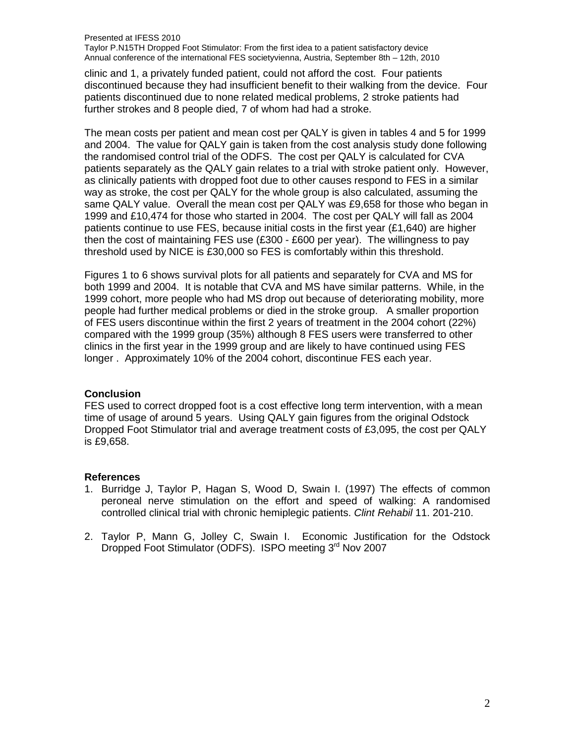clinic and 1, a privately funded patient, could not afford the cost. Four patients discontinued because they had insufficient benefit to their walking from the device. Four patients discontinued due to none related medical problems, 2 stroke patients had further strokes and 8 people died, 7 of whom had had a stroke.

The mean costs per patient and mean cost per QALY is given in tables 4 and 5 for 1999 and 2004. The value for QALY gain is taken from the cost analysis study done following the randomised control trial of the ODFS. The cost per QALY is calculated for CVA patients separately as the QALY gain relates to a trial with stroke patient only. However, as clinically patients with dropped foot due to other causes respond to FES in a similar way as stroke, the cost per QALY for the whole group is also calculated, assuming the same QALY value. Overall the mean cost per QALY was £9,658 for those who began in 1999 and £10,474 for those who started in 2004. The cost per QALY will fall as 2004 patients continue to use FES, because initial costs in the first year (£1,640) are higher then the cost of maintaining FES use (£300 - £600 per year). The willingness to pay threshold used by NICE is £30,000 so FES is comfortably within this threshold.

Figures 1 to 6 shows survival plots for all patients and separately for CVA and MS for both 1999 and 2004. It is notable that CVA and MS have similar patterns. While, in the 1999 cohort, more people who had MS drop out because of deteriorating mobility, more people had further medical problems or died in the stroke group. A smaller proportion of FES users discontinue within the first 2 years of treatment in the 2004 cohort (22%) compared with the 1999 group (35%) although 8 FES users were transferred to other clinics in the first year in the 1999 group and are likely to have continued using FES longer . Approximately 10% of the 2004 cohort, discontinue FES each year.

### **Conclusion**

FES used to correct dropped foot is a cost effective long term intervention, with a mean time of usage of around 5 years. Using QALY gain figures from the original Odstock Dropped Foot Stimulator trial and average treatment costs of £3,095, the cost per QALY is £9,658.

## **References**

- 1. Burridge J, Taylor P, Hagan S, Wood D, Swain I. (1997) The effects of common peroneal nerve stimulation on the effort and speed of walking: A randomised controlled clinical trial with chronic hemiplegic patients. Clint Rehabil 11. 201-210.
- 2. Taylor P, Mann G, Jolley C, Swain I. Economic Justification for the Odstock Dropped Foot Stimulator (ODFS). ISPO meeting 3<sup>rd</sup> Nov 2007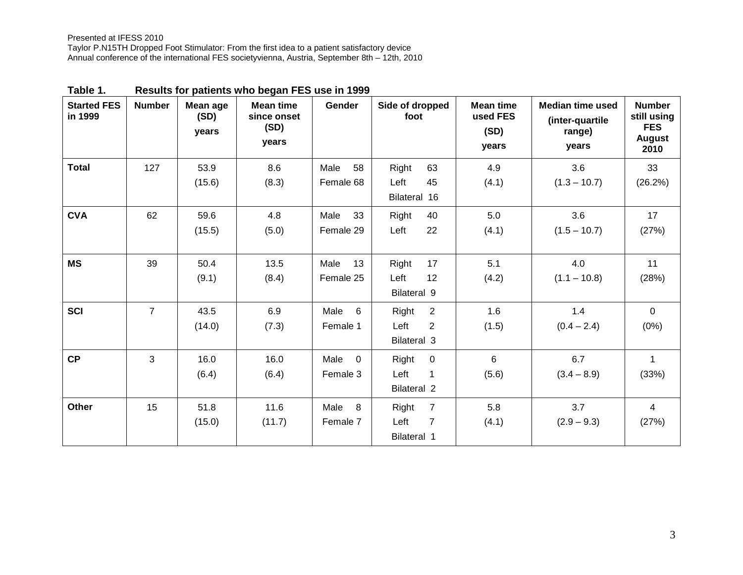Presented at IFESS 2010 Taylor P.N15TH Dropped Foot Stimulator: From the first idea to a patient satisfactory device Annual conference of the international FES societyvienna, Austria, September 8th – 12th, 2010

| <b>Started FES</b><br>in 1999 | <b>Number</b>  | Mean age<br>(SD)<br>years | <b>Mean time</b><br>since onset<br>(SD)<br>years | Gender                       | Side of dropped<br>foot                                                 | <b>Mean time</b><br>used FES<br>(SD)<br>years | <b>Median time used</b><br>(inter-quartile<br>range)<br>years | <b>Number</b><br>still using<br><b>FES</b><br><b>August</b><br>2010 |
|-------------------------------|----------------|---------------------------|--------------------------------------------------|------------------------------|-------------------------------------------------------------------------|-----------------------------------------------|---------------------------------------------------------------|---------------------------------------------------------------------|
| <b>Total</b>                  | 127            | 53.9                      | 8.6                                              | Male<br>58                   | Right<br>63                                                             | 4.9                                           | 3.6                                                           | 33                                                                  |
|                               |                | (15.6)                    | (8.3)                                            | Female 68                    | 45<br>Left<br>Bilateral 16                                              | (4.1)                                         | $(1.3 - 10.7)$                                                | (26.2%)                                                             |
| <b>CVA</b>                    | 62             | 59.6                      | 4.8                                              | 33<br>Male                   | 40<br>Right                                                             | 5.0                                           | 3.6                                                           | 17                                                                  |
|                               |                | (15.5)                    | (5.0)                                            | Female 29                    | 22<br>Left                                                              | (4.1)                                         | $(1.5 - 10.7)$                                                | (27%)                                                               |
| <b>MS</b>                     | 39             | 50.4                      | 13.5                                             | Male<br>13                   | 17<br>Right                                                             | 5.1                                           | 4.0                                                           | 11                                                                  |
|                               |                | (9.1)                     | (8.4)                                            | Female 25                    | 12<br>Left<br>Bilateral 9                                               | (4.2)                                         | $(1.1 - 10.8)$                                                | (28%)                                                               |
| <b>SCI</b>                    | $\overline{7}$ | 43.5<br>(14.0)            | 6.9<br>(7.3)                                     | Male<br>6<br>Female 1        | $\overline{2}$<br>Right<br>Left<br>$\overline{2}$<br>Bilateral 3        | 1.6<br>(1.5)                                  | 1.4<br>$(0.4 - 2.4)$                                          | $\mathbf 0$<br>(0%)                                                 |
| <b>CP</b>                     | 3              | 16.0<br>(6.4)             | 16.0<br>(6.4)                                    | Male<br>$\Omega$<br>Female 3 | $\overline{0}$<br>Right<br>Left<br>1<br>Bilateral 2                     | 6<br>(5.6)                                    | 6.7<br>$(3.4 - 8.9)$                                          | $\mathbf 1$<br>(33%)                                                |
| <b>Other</b>                  | 15             | 51.8<br>(15.0)            | 11.6<br>(11.7)                                   | 8<br>Male<br>Female 7        | $\overline{7}$<br>Right<br>$\overline{7}$<br>Left<br><b>Bilateral 1</b> | 5.8<br>(4.1)                                  | 3.7<br>$(2.9 - 9.3)$                                          | 4<br>(27%)                                                          |

## **Table 1. Results for patients who began FES use in 1999**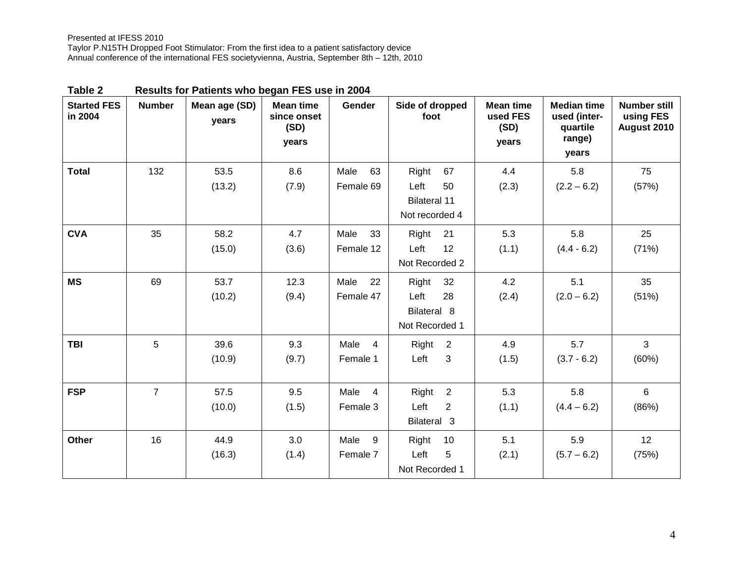| <b>Started FES</b><br>in 2004 | <b>Number</b>  | Mean age (SD)<br>years | <b>Mean time</b><br>since onset<br>(SD)<br>years | Gender                             | Side of dropped<br>foot                                            | <b>Mean time</b><br>used FES<br>(SD)<br>years | <b>Median time</b><br>used (inter-<br>quartile<br>range)<br>years | <b>Number still</b><br>using FES<br>August 2010 |
|-------------------------------|----------------|------------------------|--------------------------------------------------|------------------------------------|--------------------------------------------------------------------|-----------------------------------------------|-------------------------------------------------------------------|-------------------------------------------------|
| <b>Total</b>                  | 132            | 53.5<br>(13.2)         | 8.6<br>(7.9)                                     | Male<br>63<br>Female 69            | 67<br>Right<br>Left<br>50<br><b>Bilateral 11</b><br>Not recorded 4 | 4.4<br>(2.3)                                  | 5.8<br>$(2.2 - 6.2)$                                              | 75<br>(57%)                                     |
| <b>CVA</b>                    | 35             | 58.2<br>(15.0)         | 4.7<br>(3.6)                                     | 33<br>Male<br>Female 12            | Right<br>21<br>12<br>Left<br>Not Recorded 2                        | 5.3<br>(1.1)                                  | 5.8<br>$(4.4 - 6.2)$                                              | 25<br>(71%)                                     |
| <b>MS</b>                     | 69             | 53.7<br>(10.2)         | 12.3<br>(9.4)                                    | Male<br>22<br>Female 47            | Right<br>32<br>Left<br>28<br>Bilateral 8<br>Not Recorded 1         | 4.2<br>(2.4)                                  | 5.1<br>$(2.0 - 6.2)$                                              | 35<br>(51%)                                     |
| <b>TBI</b>                    | 5              | 39.6<br>(10.9)         | 9.3<br>(9.7)                                     | Male<br>$\overline{4}$<br>Female 1 | Right<br>$\overline{2}$<br>Left<br>3                               | 4.9<br>(1.5)                                  | 5.7<br>$(3.7 - 6.2)$                                              | 3<br>(60%)                                      |
| <b>FSP</b>                    | $\overline{7}$ | 57.5<br>(10.0)         | 9.5<br>(1.5)                                     | Male<br>$\overline{4}$<br>Female 3 | $\overline{2}$<br>Right<br>$\overline{2}$<br>Left<br>Bilateral 3   | 5.3<br>(1.1)                                  | 5.8<br>$(4.4 - 6.2)$                                              | $6\phantom{1}$<br>(86%)                         |
| <b>Other</b>                  | 16             | 44.9<br>(16.3)         | 3.0<br>(1.4)                                     | Male<br>9<br>Female 7              | Right<br>10<br>Left<br>5<br>Not Recorded 1                         | 5.1<br>(2.1)                                  | 5.9<br>$(5.7 - 6.2)$                                              | 12<br>(75%)                                     |

# **Table 2 Results for Patients who began FES use in 2004**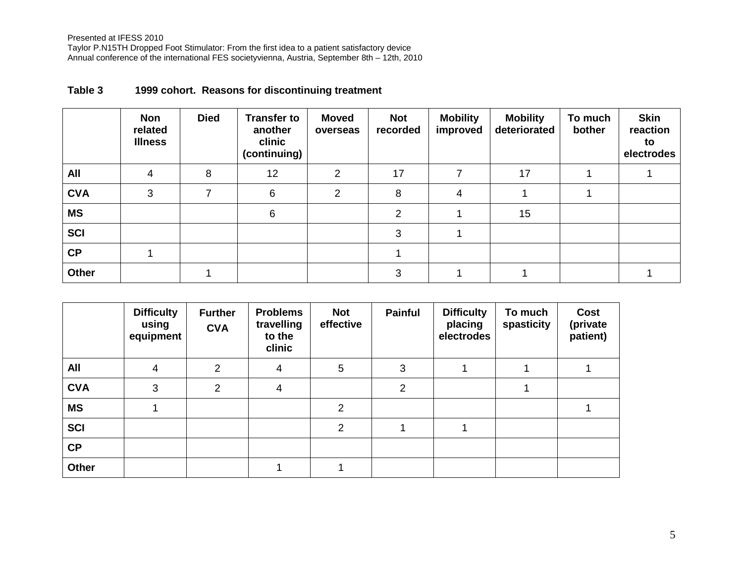## **Table 3 1999 cohort. Reasons for discontinuing treatment**

|            | <b>Non</b><br>related<br><b>Illness</b> | <b>Died</b> | <b>Transfer to</b><br>another<br>clinic<br>(continuing) | <b>Moved</b><br>overseas | <b>Not</b><br>recorded | <b>Mobility</b><br>improved | <b>Mobility</b><br>deteriorated | To much<br>bother | <b>Skin</b><br>reaction<br>to<br>electrodes |
|------------|-----------------------------------------|-------------|---------------------------------------------------------|--------------------------|------------------------|-----------------------------|---------------------------------|-------------------|---------------------------------------------|
| All        | 4                                       | 8           | 12                                                      | $\overline{2}$           | 17                     |                             | 17                              |                   |                                             |
| <b>CVA</b> | 3                                       |             | 6                                                       | $\overline{2}$           | 8                      | 4                           |                                 |                   |                                             |
| <b>MS</b>  |                                         |             | 6                                                       |                          | 2                      |                             | 15                              |                   |                                             |
| <b>SCI</b> |                                         |             |                                                         |                          | 3                      |                             |                                 |                   |                                             |
| <b>CP</b>  |                                         |             |                                                         |                          |                        |                             |                                 |                   |                                             |
| Other      |                                         |             |                                                         |                          | 3                      |                             |                                 |                   |                                             |

|              | <b>Difficulty</b><br>using<br>equipment | <b>Further</b><br><b>CVA</b> | <b>Problems</b><br>travelling<br>to the<br>clinic | <b>Not</b><br>effective | <b>Painful</b> | <b>Difficulty</b><br>placing<br>electrodes | To much<br>spasticity | Cost<br>(private<br>patient) |
|--------------|-----------------------------------------|------------------------------|---------------------------------------------------|-------------------------|----------------|--------------------------------------------|-----------------------|------------------------------|
| All          | 4                                       | 2                            | 4                                                 | 5                       | 3              |                                            |                       |                              |
| <b>CVA</b>   | 3                                       | $\overline{2}$               | 4                                                 |                         | 2              |                                            |                       |                              |
| <b>MS</b>    |                                         |                              |                                                   | $\overline{2}$          |                |                                            |                       |                              |
| <b>SCI</b>   |                                         |                              |                                                   | $\overline{2}$          |                |                                            |                       |                              |
| <b>CP</b>    |                                         |                              |                                                   |                         |                |                                            |                       |                              |
| <b>Other</b> |                                         |                              |                                                   |                         |                |                                            |                       |                              |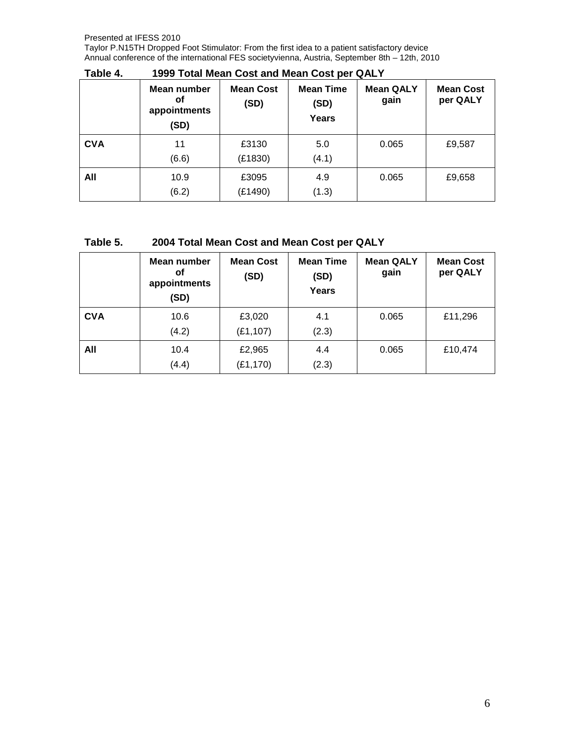Taylor P.N15TH Dropped Foot Stimulator: From the first idea to a patient satisfactory device Annual conference of the international FES societyvienna, Austria, September 8th – 12th, 2010

|            | Mean number<br>οf<br>appointments<br>(SD) | <b>Mean Cost</b><br>(SD) | <b>Mean Time</b><br>(SD)<br>Years | <b>Mean QALY</b><br>gain | <b>Mean Cost</b><br>per QALY |
|------------|-------------------------------------------|--------------------------|-----------------------------------|--------------------------|------------------------------|
| <b>CVA</b> | 11                                        | £3130                    | 5.0                               | 0.065                    | £9,587                       |
|            | (6.6)                                     | (E1830)                  | (4.1)                             |                          |                              |
| All        | 10.9                                      | £3095                    | 4.9                               | 0.065                    | £9,658                       |
|            | (6.2)                                     | (E1490)                  | (1.3)                             |                          |                              |

| Table 4. | 1999 Total Mean Cost and Mean Cost per QALY |
|----------|---------------------------------------------|
|          |                                             |

# **Table 5. 2004 Total Mean Cost and Mean Cost per QALY**

|            | Mean number<br>οf<br>appointments<br>(SD) | <b>Mean Cost</b><br>(SD) | <b>Mean Time</b><br>(SD)<br>Years | <b>Mean QALY</b><br>gain | <b>Mean Cost</b><br>per QALY |
|------------|-------------------------------------------|--------------------------|-----------------------------------|--------------------------|------------------------------|
| <b>CVA</b> | 10.6<br>(4.2)                             | £3,020<br>(E1, 107)      | 4.1<br>(2.3)                      | 0.065                    | £11,296                      |
| All        | 10.4<br>(4.4)                             | £2,965<br>(E1, 170)      | 4.4<br>(2.3)                      | 0.065                    | £10,474                      |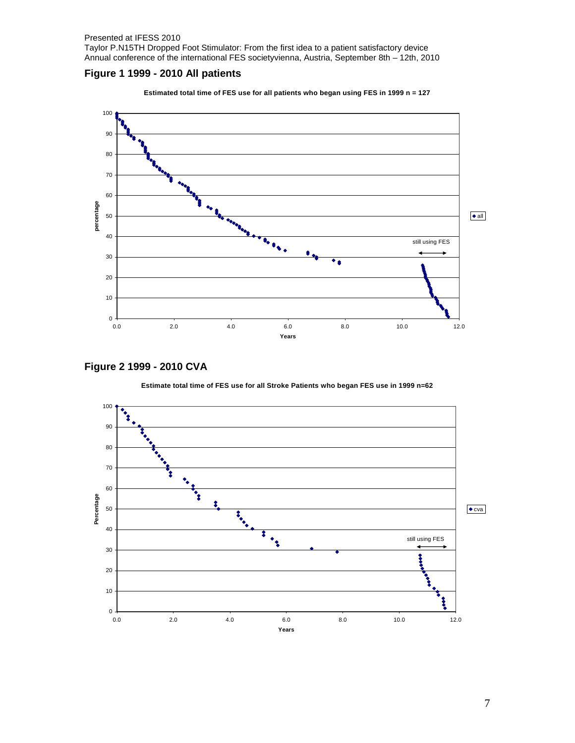### **Figure 1 1999 - 2010 All patients**

**Estimated total time of FES use for all patients who began using FES in 1999 n = 127**



**Figure 2 1999 - 2010 CVA** 

**Estimate total time of FES use for all Stroke Patients who began FES use in 1999 n=62**

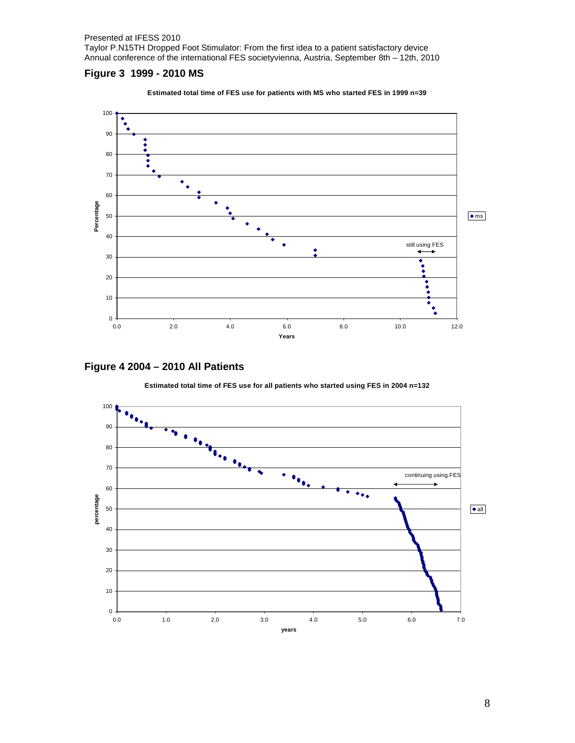### **Figure 3 1999 - 2010 MS**







**Estimated total time of FES use for all patients who started using FES in 2004 n=132**